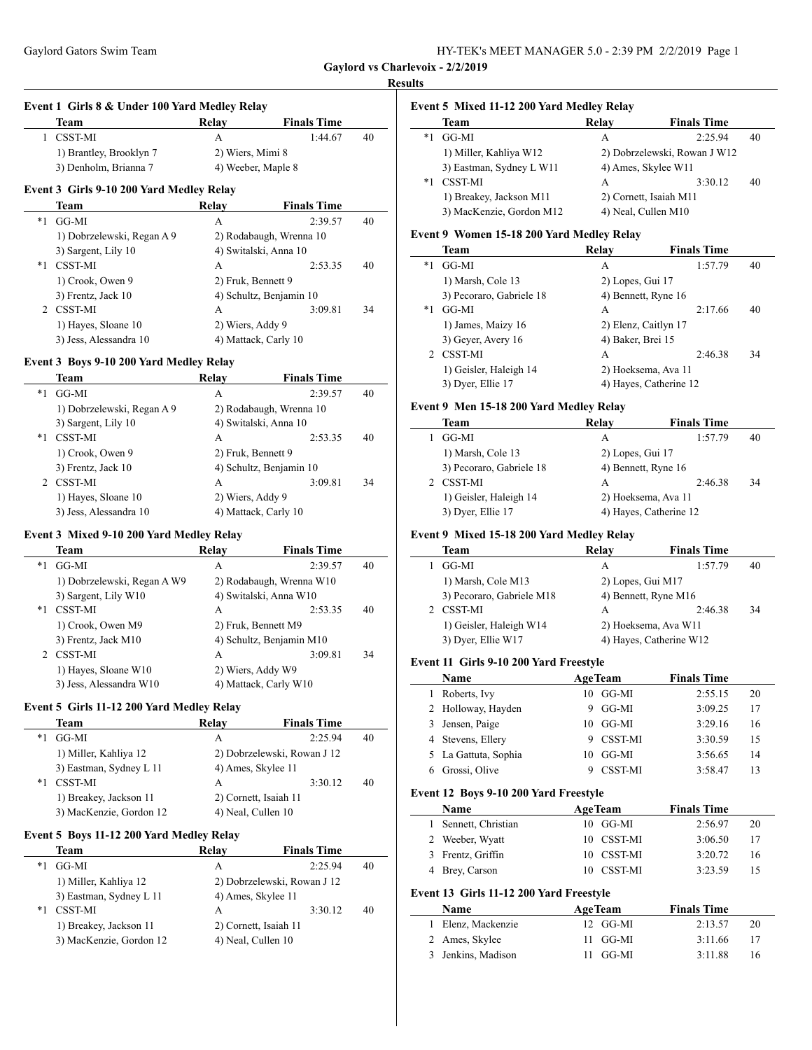**Event 1 Girls 8 & Under 100 Yard Medley Relay**

| HY-TEK's MEET MANAGER 5.0 - 2:39 PM 2/2/2019 Page 1 |  |  |  |
|-----------------------------------------------------|--|--|--|
|-----------------------------------------------------|--|--|--|

**Gaylord vs Charlevoix - 2/2/2019**

#### **Results**

 $\frac{1}{2}$ 

 $\overline{\phantom{a}}$ 

 $\overline{\phantom{a}}$ 

 $\frac{1}{2}$ 

#### **Event 5 Mixed 11-12 200 Yard Medley Relay**

|      | Team                     | Relay | <b>Finals Time</b>           |    |
|------|--------------------------|-------|------------------------------|----|
| $*1$ | GG-MI                    | А     | 2:25.94                      | 40 |
|      | 1) Miller, Kahliya W12   |       | 2) Dobrzelewski, Rowan J W12 |    |
|      | 3) Eastman, Sydney L W11 |       | 4) Ames, Skylee W11          |    |
| $*1$ | CSST-MI                  | A     | 3:30.12                      | 40 |
|      | 1) Breakey, Jackson M11  |       | 2) Cornett, Isaiah M11       |    |
|      | 3) MacKenzie, Gordon M12 |       | 4) Neal, Cullen M10          |    |

### **Event 9 Women 15-18 200 Yard Medley Relay**

|    | Team                     | Relay                | <b>Finals Time</b>     |    |
|----|--------------------------|----------------------|------------------------|----|
| *1 | GG-MI                    | A                    | 1:57.79                | 40 |
|    | 1) Marsh, Cole 13        | 2) Lopes, Gui 17     |                        |    |
|    | 3) Pecoraro, Gabriele 18 | 4) Bennett, Ryne 16  |                        |    |
| *1 | GG-MI                    | A                    | 2:17.66                | 40 |
|    | 1) James, Maizy 16       | 2) Elenz, Caitlyn 17 |                        |    |
|    | 3) Geyer, Avery 16       | 4) Baker, Brei 15    |                        |    |
|    | <b>CSST-MI</b>           | A                    | 2:46.38                | 34 |
|    | 1) Geisler, Haleigh 14   |                      | 2) Hoeksema, Ava 11    |    |
|    | 3) Dyer, Ellie 17        |                      | 4) Hayes, Catherine 12 |    |

#### **Event 9 Men 15-18 200 Yard Medley Relay**

| Team                     | Relay                  | <b>Finals Time</b> |    |
|--------------------------|------------------------|--------------------|----|
| GG-MI                    | A                      | 1:57.79            | 40 |
| 1) Marsh, Cole 13        | 2) Lopes, Gui 17       |                    |    |
| 3) Pecoraro, Gabriele 18 | 4) Bennett, Ryne 16    |                    |    |
| CSST-MI                  | A                      | 2:46.38            | 34 |
| 1) Geisler, Haleigh 14   | 2) Hoeksema, Ava 11    |                    |    |
| 3) Dyer, Ellie 17        | 4) Hayes, Catherine 12 |                    |    |

#### **Event 9 Mixed 15-18 200 Yard Medley Relay**

| Team                      | Relay | <b>Finals Time</b> |                                                                                              |
|---------------------------|-------|--------------------|----------------------------------------------------------------------------------------------|
| GG-MI                     | A     | 1:57.79            | 40                                                                                           |
| 1) Marsh, Cole M13        |       |                    |                                                                                              |
| 3) Pecoraro, Gabriele M18 |       |                    |                                                                                              |
| <b>CSST-MI</b>            | A     | 2:46.38            | 34                                                                                           |
| 1) Geisler, Haleigh W14   |       |                    |                                                                                              |
| 3) Dyer, Ellie W17        |       |                    |                                                                                              |
|                           |       |                    | 2) Lopes, Gui M17<br>4) Bennett, Ryne M16<br>2) Hoeksema, Ava W11<br>4) Hayes, Catherine W12 |

#### **Event 11 Girls 9-10 200 Yard Freestyle**

|   | Name                 |    | <b>AgeTeam</b> | <b>Finals Time</b> |    |  |
|---|----------------------|----|----------------|--------------------|----|--|
| L | Roberts, Ivy         |    | $10$ GG-MI     | 2:55.15            | 20 |  |
|   | 2 Holloway, Hayden   | 9  | GG-MI          | 3:09.25            | 17 |  |
|   | 3 Jensen, Paige      |    | $10$ GG-MI     | 3:29.16            | 16 |  |
|   | 4 Stevens, Ellery    | 9  | CSST-MI        | 3:30.59            | 15 |  |
|   | 5 La Gattuta, Sophia | 10 | GG-MI          | 3:56.65            | 14 |  |
|   | 6 Grossi Olive       |    | 9 CSST-MI      | 3:58.47            |    |  |

#### **Event 12 Boys 9-10 200 Yard Freestyle**

| Name                 | <b>AgeTeam</b> | <b>Finals Time</b> |    |
|----------------------|----------------|--------------------|----|
| 1 Sennett, Christian | 10 GG-MI       | 2:56.97            | 20 |
| 2 Weeber, Wyatt      | 10 CSST-MI     | 3:06.50            | 17 |
| 3 Frentz, Griffin    | 10 CSST-MI     | 3:20.72            | 16 |
| 4 Brey, Carson       | 10 CSST-MI     | 3:23.59            |    |

#### **Event 13 Girls 11-12 200 Yard Freestyle**

| <b>Name</b>        | <b>AgeTeam</b> | <b>Finals Time</b> |    |
|--------------------|----------------|--------------------|----|
| 1 Elenz, Mackenzie | 12 GG-MI       | 2:13.57            | 20 |
| 2 Ames, Skylee     | 11 GG-MI       | 3:11.66            |    |
| 3 Jenkins, Madison | 11 GG-MI       | 3:11.88            | 16 |

|    | Team                                     | Relay            | <b>Finals Time</b>      |    |
|----|------------------------------------------|------------------|-------------------------|----|
|    | CSST-MI                                  | А                | 1:44.67                 | 40 |
|    | 1) Brantley, Brooklyn 7                  | 2) Wiers, Mimi 8 |                         |    |
|    | 3) Denholm, Brianna 7                    |                  | 4) Weeber, Maple 8      |    |
|    | Event 3 Girls 9-10 200 Yard Medley Relay |                  |                         |    |
|    |                                          |                  |                         |    |
|    | Team                                     | Relay            | <b>Finals Time</b>      |    |
| *1 | GG-MI                                    | А                | 2:39.57                 | 40 |
|    | 1) Dobrzelewski, Regan A 9               |                  | 2) Rodabaugh, Wrenna 10 |    |
|    | 3) Sargent, Lily 10                      |                  | 4) Switalski, Anna 10   |    |

### \*1 CSST-MI A 2:53.35 40 1) Crook, Owen 9 2) Fruk, Bennett 9 3) Frentz, Jack 10 4) Schultz, Benjamin 10 2 CSST-MI A 3:09.81 34 1) Hayes, Sloane 10 2) Wiers, Addy 9 3) Jess, Alessandra 10 4) Mattack, Carly 10

#### **Event 3 Boys 9-10 200 Yard Medley Relay**

|               | Team                       | Relay            | <b>Finals Time</b>      |    |
|---------------|----------------------------|------------------|-------------------------|----|
| $*1$          | GG-MI                      | А                | 2:39.57                 | 40 |
|               | 1) Dobrzelewski, Regan A 9 |                  | 2) Rodabaugh, Wrenna 10 |    |
|               | 3) Sargent, Lily 10        |                  | 4) Switalski, Anna 10   |    |
| *1            | <b>CSST-MI</b>             | А                | 2:53.35                 | 40 |
|               | 1) Crook, Owen 9           |                  | 2) Fruk, Bennett 9      |    |
|               | 3) Frentz, Jack 10         |                  | 4) Schultz, Benjamin 10 |    |
| $\mathcal{L}$ | CSST-MI                    | A                | 3:09.81                 | 34 |
|               | 1) Hayes, Sloane 10        | 2) Wiers, Addy 9 |                         |    |
|               | 3) Jess, Alessandra 10     |                  | 4) Mattack, Carly 10    |    |

### **Event 3 Mixed 9-10 200 Yard Medley Relay**

|    | Team                        | Relav | <b>Finals Time</b>       |    |
|----|-----------------------------|-------|--------------------------|----|
| *1 | GG-MI                       | А     | 2:39.57                  | 40 |
|    | 1) Dobrzelewski, Regan A W9 |       | 2) Rodabaugh, Wrenna W10 |    |
|    | 3) Sargent, Lily W10        |       | 4) Switalski, Anna W10   |    |
| *1 | <b>CSST-MI</b>              | A     | 2:53.35                  | 40 |
|    | 1) Crook, Owen M9           |       | 2) Fruk, Bennett M9      |    |
|    | 3) Frentz, Jack M10         |       | 4) Schultz, Benjamin M10 |    |
|    | 2 CSST-MI                   | А     | 3:09.81                  | 34 |
|    | 1) Hayes, Sloane W10        |       | 2) Wiers, Addy W9        |    |
|    | 3) Jess, Alessandra W10     |       | 4) Mattack, Carly W10    |    |

#### **Event 5 Girls 11-12 200 Yard Medley Relay**

|    | Team                    | Relay              | <b>Finals Time</b>          |    |
|----|-------------------------|--------------------|-----------------------------|----|
| *1 | GG-MI                   | А                  | 2:25.94                     | 40 |
|    | 1) Miller, Kahliya 12   |                    | 2) Dobrzelewski, Rowan J 12 |    |
|    | 3) Eastman, Sydney L 11 | 4) Ames, Skylee 11 |                             |    |
| *1 | <b>CSST-MI</b>          | А                  | 3:30.12                     | 40 |
|    | 1) Breakey, Jackson 11  |                    | 2) Cornett, Isaiah 11       |    |
|    | 3) MacKenzie, Gordon 12 | 4) Neal, Cullen 10 |                             |    |

### **Event 5 Boys 11-12 200 Yard Medley Relay**

 $\overline{a}$ 

|    | Team                    | Relay | <b>Finals Time</b>          |    |
|----|-------------------------|-------|-----------------------------|----|
| *1 | GG-MI                   | А     | 2:25.94                     | 40 |
|    | 1) Miller, Kahliya 12   |       | 2) Dobrzelewski, Rowan J 12 |    |
|    | 3) Eastman, Sydney L 11 |       | 4) Ames, Skylee 11          |    |
| *1 | <b>CSST-MI</b>          | А     | 3:30.12                     | 40 |
|    | 1) Breakey, Jackson 11  |       | 2) Cornett, Isaiah 11       |    |
|    | 3) MacKenzie, Gordon 12 |       | 4) Neal, Cullen 10          |    |
|    |                         |       |                             |    |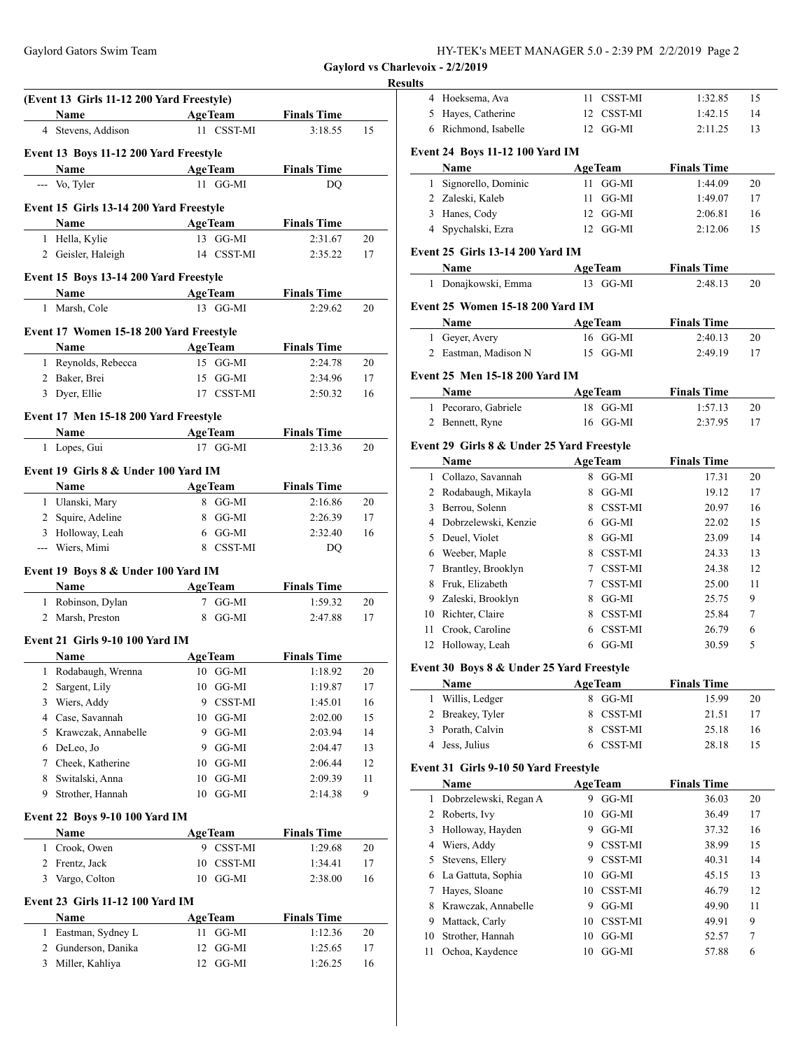| HY-TEK's MEET MANAGER 5.0 - 2:39 PM 2/2/2019 Page 2 |  |
|-----------------------------------------------------|--|
|-----------------------------------------------------|--|

# **Results**

|                                  | (Event 13 Girls 11-12 200 Yard Freestyle) |      |                |                    |    |
|----------------------------------|-------------------------------------------|------|----------------|--------------------|----|
|                                  | Name                                      |      | <b>AgeTeam</b> | <b>Finals Time</b> |    |
|                                  | 4 Stevens, Addison                        |      | 11 CSST-MI     | 3:18.55            | 15 |
|                                  | Event 13 Boys 11-12 200 Yard Freestyle    |      |                |                    |    |
|                                  | Name                                      |      | <b>AgeTeam</b> | <b>Finals Time</b> |    |
|                                  | --- Vo, Tyler                             |      | 11 GG-MI       | DO                 |    |
|                                  |                                           |      |                |                    |    |
|                                  | Event 15 Girls 13-14 200 Yard Freestyle   |      |                |                    |    |
|                                  | Name                                      |      | <b>AgeTeam</b> | <b>Finals Time</b> |    |
|                                  | 1 Hella, Kylie                            |      | 13 GG-MI       | 2:31.67            | 20 |
|                                  | 2 Geisler, Haleigh                        |      | 14 CSST-MI     | 2:35.22            | 17 |
|                                  | Event 15 Boys 13-14 200 Yard Freestyle    |      |                |                    |    |
|                                  | Name                                      |      | <b>AgeTeam</b> | <b>Finals Time</b> |    |
|                                  | 1 Marsh, Cole                             |      | 13 GG-MI       | 2:29.62            | 20 |
|                                  |                                           |      |                |                    |    |
|                                  | Event 17 Women 15-18 200 Yard Freestyle   |      |                |                    |    |
|                                  | Name                                      |      | <b>AgeTeam</b> | <b>Finals Time</b> |    |
|                                  | 1 Reynolds, Rebecca                       |      | 15 GG-MI       | 2:24.78            | 20 |
|                                  | 2 Baker, Brei                             |      | 15 GG-MI       | 2:34.96            | 17 |
|                                  | 3 Dyer, Ellie                             |      | 17 CSST-MI     | 2:50.32            | 16 |
|                                  | Event 17 Men 15-18 200 Yard Freestyle     |      |                |                    |    |
|                                  | Name                                      |      | <b>AgeTeam</b> | <b>Finals Time</b> |    |
|                                  | 1 Lopes, Gui                              |      | 17 GG-MI       | 2:13.36            | 20 |
|                                  |                                           |      |                |                    |    |
|                                  | Event 19 Girls 8 & Under 100 Yard IM      |      |                |                    |    |
|                                  | Name                                      |      | <b>AgeTeam</b> | <b>Finals Time</b> |    |
|                                  | 1 Ulanski, Mary                           |      | 8 GG-MI        | 2:16.86            | 20 |
| $\overline{2}$                   | Squire, Adeline                           |      | 8 GG-MI        | 2:26.39            | 17 |
|                                  | 3 Holloway, Leah                          |      | 6 GG-MI        | 2:32.40            | 16 |
|                                  | --- Wiers, Mimi                           |      | 8 CSST-MI      | DQ                 |    |
|                                  | Event 19 Boys 8 & Under 100 Yard IM       |      |                |                    |    |
|                                  | <b>Name</b>                               |      | <b>AgeTeam</b> | <b>Finals Time</b> |    |
| 1                                | Robinson, Dylan                           |      | 7 GG-MI        | 1:59.32            | 20 |
|                                  | 2 Marsh, Preston                          |      | 8 GG-MI        | 2:47.88            | 17 |
|                                  | Event 21 Girls 9-10 100 Yard IM           |      |                |                    |    |
|                                  | Name                                      |      | <b>AgeTeam</b> | <b>Finals Time</b> |    |
| 1                                | Rodabaugh, Wrenna                         |      | $10$ GG-MI     | 1:18.92            | 20 |
| 2                                | Sargent, Lily                             |      | 10 GG-MI       | 1:19.87            | 17 |
| 3                                | Wiers, Addy                               |      | 9 CSST-MI      | 1:45.01            | 16 |
| 4                                | Case, Savannah                            |      | 10 GG-MI       | 2:02.00            | 15 |
| 5                                | Krawczak, Annabelle                       | 9    | GG-MI          | 2:03.94            | 14 |
| 6                                | DeLeo, Jo                                 | 9    | GG-MI          | 2:04.47            | 13 |
| 7                                | Cheek, Katherine                          | 10   | GG-MI          | 2:06.44            | 12 |
| 8                                | Switalski, Anna                           | 10   | GG-MI          | 2:09.39            | 11 |
| 9                                | Strother, Hannah                          | 10   | GG-MI          | 2:14.38            | 9  |
|                                  |                                           |      |                |                    |    |
|                                  | <b>Event 22 Boys 9-10 100 Yard IM</b>     |      |                |                    |    |
|                                  | Name                                      |      | <b>AgeTeam</b> | <b>Finals Time</b> |    |
| 1                                | Crook, Owen                               |      | 9 CSST-MI      | 1:29.68            | 20 |
| 2                                | Frentz, Jack                              | 10   | CSST-MI        | 1:34.41            | 17 |
| 3                                | Vargo, Colton                             | 10   | GG-MI          | 2:38.00            | 16 |
|                                  | <b>Event 23 Girls 11-12 100 Yard IM</b>   |      |                |                    |    |
|                                  |                                           |      |                |                    |    |
|                                  | Name                                      |      | <b>AgeTeam</b> | <b>Finals Time</b> |    |
| 1                                | Eastman, Sydney L                         | 11 - | GG-MI          | 1:12.36            | 20 |
| $\overline{2}$<br>$\overline{3}$ | Gunderson, Danika                         | 12   | GG-MI          | 1:25.65            | 17 |
|                                  | Miller, Kahliya                           | 12   | GG-MI          | 1:26.25            | 16 |

| ults         |                                                    |                     |                    |        |
|--------------|----------------------------------------------------|---------------------|--------------------|--------|
|              | 4 Hoeksema, Ava                                    | 11 CSST-MI          | 1:32.85            | 15     |
| 5            | Hayes, Catherine                                   | 12 CSST-MI          | 1:42.15            | 14     |
|              | 6 Richmond, Isabelle                               | GG-MI<br>12         | 2:11.25            | 13     |
|              | Event 24 Boys 11-12 100 Yard IM                    |                     |                    |        |
|              | Name                                               | <b>AgeTeam</b>      | <b>Finals Time</b> |        |
| 1            | Signorello, Dominic                                | 11 GG-MI            | 1:44.09            | 20     |
|              | 2 Zaleski, Kaleb                                   | 11<br>GG-MI         | 1:49.07            | 17     |
|              | 3 Hanes, Cody                                      | GG-MI<br>12         | 2:06.81            | 16     |
|              | 4 Spychalski, Ezra                                 | 12 GG-MI            | 2:12.06            | 15     |
|              | <b>Event 25 Girls 13-14 200 Yard IM</b>            |                     |                    |        |
|              | Name                                               | <b>AgeTeam</b>      | <b>Finals Time</b> |        |
| 1            | Donajkowski, Emma                                  | 13 GG-MI            | 2:48.13            | 20     |
|              | <b>Event 25 Women 15-18 200 Yard IM</b>            |                     |                    |        |
|              | Name                                               | <b>AgeTeam</b>      | <b>Finals Time</b> |        |
|              | 1 Geyer, Avery                                     | 16 GG-MI            | 2:40.13            | 20     |
|              | 2 Eastman, Madison N                               | GG-MI<br>15         | 2:49.19            | 17     |
|              | <b>Event 25 Men 15-18 200 Yard IM</b>              |                     |                    |        |
|              | Name                                               | <b>AgeTeam</b>      | <b>Finals Time</b> |        |
| $\mathbf{1}$ | Pecoraro, Gabriele                                 | GG-MI<br>18         | 1:57.13            | 20     |
| 2            | Bennett, Ryne                                      | $16$ GG-MI          | 2:37.95            | 17     |
|              |                                                    |                     |                    |        |
|              | Event 29 Girls 8 & Under 25 Yard Freestyle<br>Name | <b>AgeTeam</b>      | <b>Finals Time</b> |        |
|              | 1 Collazo, Savannah                                | 8 GG-MI             | 17.31              | 20     |
|              | 2 Rodabaugh, Mikayla                               | GG-MI<br>8          | 19.12              | 17     |
|              | 3 Berrou, Solenn                                   | 8 CSST-MI           | 20.97              | 16     |
|              | 4 Dobrzelewski, Kenzie                             | 6 GG-MI             | 22.02              | 15     |
|              | 5 Deuel, Violet                                    | 8 GG-MI             | 23.09              | 14     |
|              | 6 Weeber, Maple                                    | 8 CSST-MI           | 24.33              | 13     |
| 7            | Brantley, Brooklyn                                 | 7 CSST-MI           | 24.38              | 12     |
| 8            | Fruk, Elizabeth                                    | 7 CSST-MI           | 25.00              | 11     |
| 9            | Zaleski, Brooklyn                                  | 8 GG-MI             | 25.75              | 9      |
|              | 10 Richter, Claire                                 | 8 CSST-MI           | 25.84              | 7      |
| 11           | Crook, Caroline                                    | <b>CSST-MI</b><br>6 | 26.79              | 6      |
| 12           | Holloway, Leah                                     | 6 GG-MI             | 30.59              | 5      |
|              |                                                    |                     |                    |        |
|              | Event 30 Boys 8 & Under 25 Yard Freestyle<br>Name  | <b>AgeTeam</b>      | <b>Finals Time</b> |        |
| 1            | Willis, Ledger                                     | GG-MI<br>8          | 15.99              | 20     |
| 2            | Breakey, Tyler                                     | 8<br>CSST-MI        | 21.51              | 17     |
| 3            | Porath, Calvin                                     | CSST-MI<br>8        | 25.18              | 16     |
| 4            | Jess, Julius                                       | <b>CSST-MI</b><br>6 | 28.18              | 15     |
|              | Event 31 Girls 9-10 50 Yard Freestyle              |                     |                    |        |
|              | Name                                               | <b>AgeTeam</b>      | <b>Finals Time</b> |        |
| 1            | Dobrzelewski, Regan A                              | 9 GG-MI             | 36.03              | 20     |
| 2            | Roberts, Ivy                                       | 10<br>GG-MI         | 36.49              | 17     |
| 3            | Holloway, Hayden                                   | 9<br>GG-MI          | 37.32              | 16     |
| 4            | Wiers, Addy                                        | 9<br>CSST-MI        | 38.99              | 15     |
| 5            | Stevens, Ellery                                    | 9<br>CSST-MI        | 40.31              | 14     |
| 6            | La Gattuta, Sophia                                 | GG-MI<br>10         | 45.15              | 13     |
| 7            | Hayes, Sloane                                      | CSST-MI<br>10       | 46.79              | 12     |
| 8            | Krawczak, Annabelle                                | 9<br>GG-MI          | 49.90              | 11     |
| 9            | Mattack, Carly                                     | 10<br>CSST-MI       | 49.91              | 9      |
| 10           | Strother, Hannah                                   | GG-MI<br>10         | 52.57              | $\tau$ |
| 11           | Ochoa, Kaydence                                    | GG-MI<br>10         | 57.88              | 6      |
|              |                                                    |                     |                    |        |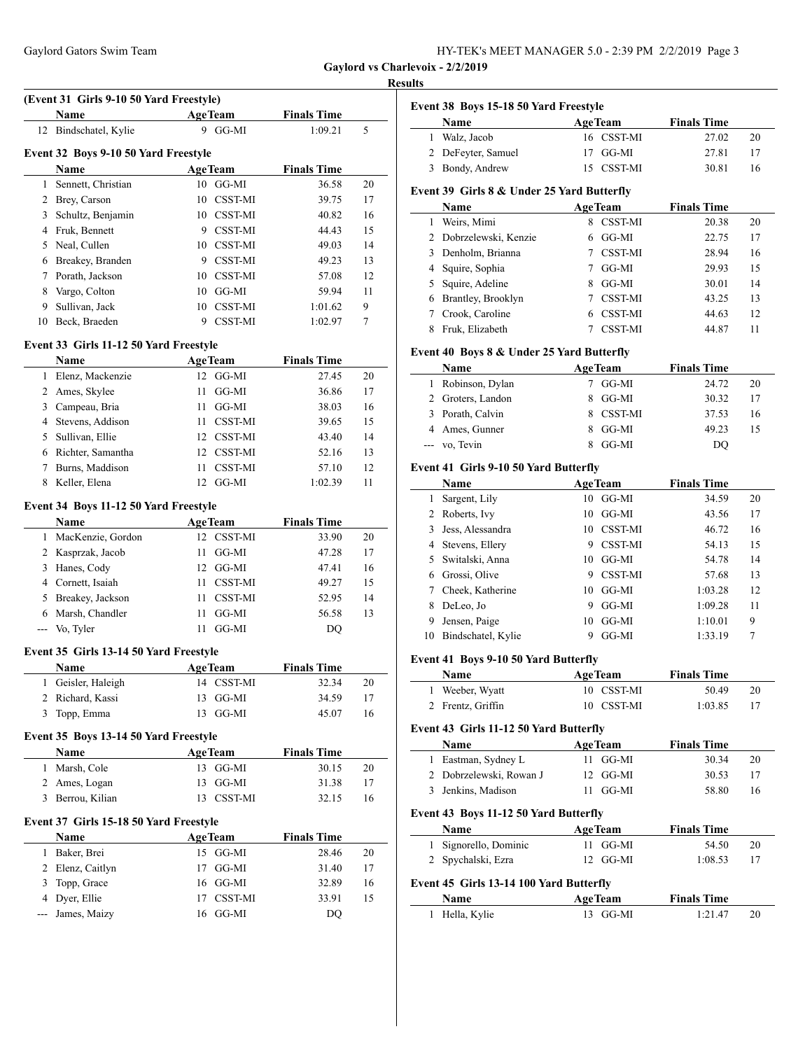| HY-TEK's MEET MANAGER 5.0 - 2:39 PM 2/2/2019 Page 3 |  |  |
|-----------------------------------------------------|--|--|
|-----------------------------------------------------|--|--|

#### **Results**

|    | <b>Name</b>                          |    | <b>AgeTeam</b> | <b>Finals Time</b> |    |
|----|--------------------------------------|----|----------------|--------------------|----|
|    | 12 Bindschatel, Kylie                | 9. | GG-MI          | 1:09.21            | 5  |
|    | Event 32 Boys 9-10 50 Yard Freestyle |    |                |                    |    |
|    | Name                                 |    | <b>AgeTeam</b> | <b>Finals Time</b> |    |
| 1  | Sennett, Christian                   |    | $10$ GG-MI     | 36.58              | 20 |
| 2  | Brey, Carson                         |    | 10 CSST-MI     | 39.75              | 17 |
| 3  | Schultz, Benjamin                    |    | 10 CSST-MI     | 40.82              | 16 |
| 4  | Fruk, Bennett                        | 9  | CSST-MI        | 44.43              | 15 |
| 5. | Neal, Cullen                         |    | 10 CSST-MI     | 49.03              | 14 |
| 6  | Breakey, Branden                     | 9  | CSST-MI        | 49.23              | 13 |
| 7  | Porath, Jackson                      | 10 | CSST-MI        | 57.08              | 12 |
| 8  | Vargo, Colton                        | 10 | GG-MI          | 59.94              | 11 |
| 9  | Sullivan, Jack                       |    | 10 CSST-MI     | 1:01.62            | 9  |
| 10 | Beck, Braeden                        | 9  | CSST-MI        | 1:02.97            | 7  |

### **Name Age Team Finals Time** Elenz, Mackenzie 12 GG-MI 27.45 20 Ames, Skylee 11 GG-MI 36.86 17 Campeau, Bria 11 GG-MI 38.03 16 Stevens, Addison 11 CSST-MI 39.65 15 Sullivan, Ellie 12 CSST-MI 43.40 14 Richter, Samantha 12 CSST-MI 52.16 13 Burns, Maddison 11 CSST-MI 57.10 12 8 Keller, Elena 12 GG-MI 1:02.39 11

## **Event 34 Boys 11-12 50 Yard Freestyle**

|    | <b>Name</b>        | <b>AgeTeam</b>       | <b>Finals Time</b> |    |
|----|--------------------|----------------------|--------------------|----|
| 1. | MacKenzie, Gordon  | 12 CSST-MI           | 33.90              | 20 |
|    | 2 Kasprzak, Jacob  | GG-MI<br>11          | 47.28              | 17 |
|    | 3 Hanes, Cody      | GG-MI<br>12.         | 47.41              | 16 |
|    | 4 Cornett, Isaiah  | <b>CSST-MI</b><br>11 | 49.27              | 15 |
|    | 5 Breakey, Jackson | <b>CSST-MI</b><br>11 | 52.95              | 14 |
|    | 6 Marsh, Chandler  | GG-MI<br>11          | 56.58              | 13 |
|    | --- Vo, Tyler      | GG-MI                | DO                 |    |

#### **Event 35 Girls 13-14 50 Yard Freestyle**

| Name               | <b>AgeTeam</b> | <b>Finals Time</b> |    |
|--------------------|----------------|--------------------|----|
| 1 Geisler, Haleigh | 14 CSST-MI     | 32.34              | 20 |
| 2 Richard, Kassi   | 13 GG-MI       | 34.59              | 17 |
| 3 Topp, Emma       | 13 GG-MI       | 45.07              | 16 |

### **Event 35 Boys 13-14 50 Yard Freestyle**

| <b>Name</b>      | <b>AgeTeam</b> | <b>Finals Time</b> |
|------------------|----------------|--------------------|
| 1 Marsh, Cole    | 13 GG-MI       | 30.15<br>20        |
| 2 Ames, Logan    | 13 GG-MI       | 3138               |
| 3 Berrou, Kilian | 13 CSST-MI     | 32.15<br>16        |

#### **Event 37 Girls 15-18 50 Yard Freestyle**

|    | <b>Name</b>      | <b>AgeTeam</b> | <b>Finals Time</b> |    |
|----|------------------|----------------|--------------------|----|
| 1. | Baker, Brei      | 15 GG-MI       | 28.46              | 20 |
|    | 2 Elenz, Caitlyn | $17$ GG-MI     | 31.40              | 17 |
|    | 3 Topp, Grace    | $16$ GG-MI     | 32.89              | 16 |
|    | 4 Dyer, Ellie    | 17 CSST-MI     | 33.91              | 15 |
|    | --- James, Maizy | 16 GG-MI       | DO.                |    |

|              | Event 38 Boys 15-18 50 Yard Freestyle      |    |                |                    |    |
|--------------|--------------------------------------------|----|----------------|--------------------|----|
|              | Name                                       |    | <b>AgeTeam</b> | <b>Finals Time</b> |    |
| 1            | Walz, Jacob                                |    | 16 CSST-MI     | 27.02              | 20 |
|              | 2 DeFeyter, Samuel                         | 17 | GG-MI          | 27.81              | 17 |
| 3            | Bondy, Andrew                              |    | 15 CSST-MI     | 30.81              | 16 |
|              | Event 39 Girls 8 & Under 25 Yard Butterfly |    |                |                    |    |
|              | Name                                       |    | <b>AgeTeam</b> | <b>Finals Time</b> |    |
| 1            | Weirs, Mimi                                | 8  | CSST-MI        | 20.38              | 20 |
| 2            | Dobrzelewski, Kenzie                       | 6  | GG-MI          | 22.75              | 17 |
| 3            | Denholm, Brianna                           |    | 7 CSST-MI      | 28.94              | 16 |
| 4            | Squire, Sophia                             |    | 7 GG-MI        | 29.93              | 15 |
|              | 5 Squire, Adeline                          |    | 8 GG-MI        | 30.01              | 14 |
|              | 6 Brantley, Brooklyn                       |    | 7 CSST-MI      | 43.25              | 13 |
| 7            | Crook, Caroline                            |    | 6 CSST-MI      | 44.63              | 12 |
| 8            | Fruk, Elizabeth                            |    | 7 CSST-MI      | 44.87              | 11 |
|              | Event 40 Boys 8 & Under 25 Yard Butterfly  |    |                |                    |    |
|              | Name                                       |    | <b>AgeTeam</b> | <b>Finals Time</b> |    |
| $\mathbf{1}$ | Robinson, Dylan                            |    | 7 GG-MI        | 24.72              | 20 |
|              | 2 Groters, Landon                          |    | 8 GG-MI        | 30.32              | 17 |
| 3            | Porath, Calvin                             |    | 8 CSST-MI      | 37.53              | 16 |
| 4            | Ames, Gunner                               | 8  | GG-MI          | 49.23              | 15 |
| $---$        | vo, Tevin                                  | 8  | GG-MI          | DQ                 |    |
|              | Event 41 Girls 9-10 50 Yard Butterfly      |    |                |                    |    |
|              | Name                                       |    | <b>AgeTeam</b> | <b>Finals Time</b> |    |
| 1            | Sargent, Lily                              | 10 | GG-MI          | 34.59              | 20 |
|              | 2 Roberts, Ivy                             | 10 | GG-MI          | 43.56              | 17 |
| 3            | Jess, Alessandra                           |    | 10 CSST-MI     | 46.72              | 16 |
|              | 4 Stevens, Ellery                          |    | 9 CSST-MI      | 54.13              | 15 |
| 5            | Switalski, Anna                            |    | $10$ GG-MI     | 54.78              | 14 |
|              | 6 Grossi, Olive                            |    | 9 CSST-MI      | 57.68              | 13 |
| 7            | Cheek, Katherine                           |    | 10 GG-MI       | 1:03.28            | 12 |
| 8            | DeLeo, Jo                                  | 9  | GG-MI          | 1:09.28            | 11 |
| 9            | Jensen, Paige                              | 10 | GG-MI          | 1:10.01            | 9  |
| 10           | Bindschatel, Kylie                         | 9  | GG-MI          | 1:33.19            | 7  |
|              | Event 41 Boys 9-10 50 Yard Butterfly       |    |                |                    |    |
|              | Name                                       |    | <b>AgeTeam</b> | <b>Finals Time</b> |    |
| 1            | Weeber, Wyatt                              | 10 | CSST-MI        | 50.49              | 20 |
| 2            | Frentz, Griffin                            | 10 | <b>CSST-MI</b> | 1:03.85            | 17 |
|              | Event 43 Girls 11-12 50 Yard Butterfly     |    |                |                    |    |
|              | Name                                       |    | <b>AgeTeam</b> | <b>Finals Time</b> |    |
|              | 1 Eastman, Sydney L                        | 11 | GG-MI          | 30.34              | 20 |
|              | 2 Dobrzelewski, Rowan J                    | 12 | GG-MI          | 30.53              | 17 |
|              | 3 Jenkins, Madison                         | 11 | GG-MI          | 58.80              | 16 |
|              |                                            |    |                |                    |    |
|              | Event 43 Boys 11-12 50 Yard Butterfly      |    |                |                    |    |
|              | Name                                       |    | <b>AgeTeam</b> | <b>Finals Time</b> |    |
| $\mathbf{1}$ | Signorello, Dominic                        | 11 | GG-MI          | 54.50              | 20 |
|              | 2 Spychalski, Ezra                         | 12 | GG-MI          | 1:08.53            | 17 |
|              | Event 45 Girls 13-14 100 Yard Butterfly    |    |                |                    |    |
|              | Name                                       |    | <b>AgeTeam</b> | <b>Finals Time</b> |    |
| 1            | Hella, Kylie                               |    | 13 GG-MI       | 1:21.47            | 20 |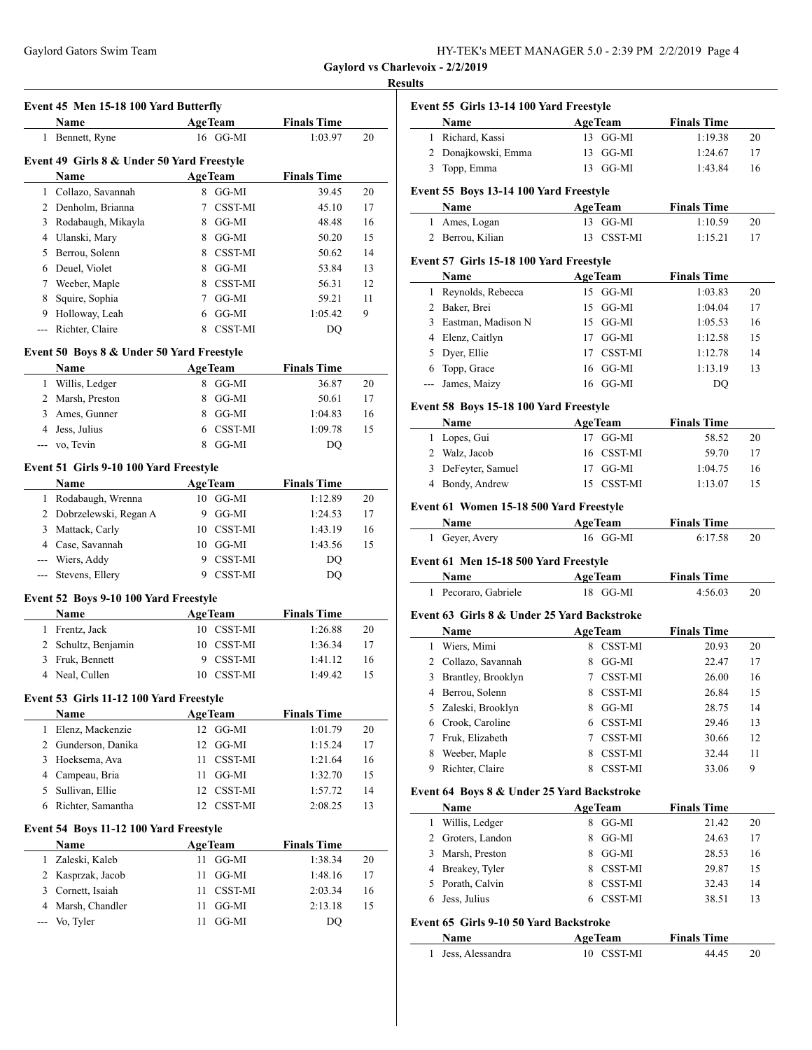**Event 45 Men 15-18 100 Yard Butterfly**

| HY-TEK's MEET MANAGER 5.0 - 2:39 PM 2/2/2019 Page 4 |  |  |
|-----------------------------------------------------|--|--|
|-----------------------------------------------------|--|--|

**Gaylord vs Charlevoix - 2/2/2019**

#### **Results**

| 1 Bennett, Ryne                            | <b>AgeTeam</b>                                                                                                                                                                                                                                                                                                                                                                                                                                                |                                                                                                                                                                                                                                                                                                                                                                                                                                                                                                                  |                                                                                                                                                                                                                                                                   | $\mathbf{I}$                                                                                            |
|--------------------------------------------|---------------------------------------------------------------------------------------------------------------------------------------------------------------------------------------------------------------------------------------------------------------------------------------------------------------------------------------------------------------------------------------------------------------------------------------------------------------|------------------------------------------------------------------------------------------------------------------------------------------------------------------------------------------------------------------------------------------------------------------------------------------------------------------------------------------------------------------------------------------------------------------------------------------------------------------------------------------------------------------|-------------------------------------------------------------------------------------------------------------------------------------------------------------------------------------------------------------------------------------------------------------------|---------------------------------------------------------------------------------------------------------|
|                                            | 16 GG-MI                                                                                                                                                                                                                                                                                                                                                                                                                                                      | 1:03.97                                                                                                                                                                                                                                                                                                                                                                                                                                                                                                          | 20                                                                                                                                                                                                                                                                | 1<br>F                                                                                                  |
|                                            |                                                                                                                                                                                                                                                                                                                                                                                                                                                               |                                                                                                                                                                                                                                                                                                                                                                                                                                                                                                                  |                                                                                                                                                                                                                                                                   | $2 \Gamma$                                                                                              |
| Event 49 Girls 8 & Under 50 Yard Freestyle |                                                                                                                                                                                                                                                                                                                                                                                                                                                               |                                                                                                                                                                                                                                                                                                                                                                                                                                                                                                                  |                                                                                                                                                                                                                                                                   | $\mathbf{I}$<br>3                                                                                       |
| Name                                       | <b>AgeTeam</b>                                                                                                                                                                                                                                                                                                                                                                                                                                                | <b>Finals Time</b>                                                                                                                                                                                                                                                                                                                                                                                                                                                                                               |                                                                                                                                                                                                                                                                   |                                                                                                         |
| 1 Collazo, Savannah                        | 8 GG-MI                                                                                                                                                                                                                                                                                                                                                                                                                                                       | 39.45                                                                                                                                                                                                                                                                                                                                                                                                                                                                                                            | 20                                                                                                                                                                                                                                                                | Event 5                                                                                                 |
| 2 Denholm, Brianna                         | 7 CSST-MI                                                                                                                                                                                                                                                                                                                                                                                                                                                     | 45.10                                                                                                                                                                                                                                                                                                                                                                                                                                                                                                            | 17                                                                                                                                                                                                                                                                | ľ                                                                                                       |
|                                            |                                                                                                                                                                                                                                                                                                                                                                                                                                                               |                                                                                                                                                                                                                                                                                                                                                                                                                                                                                                                  |                                                                                                                                                                                                                                                                   | $1 \ell$                                                                                                |
|                                            |                                                                                                                                                                                                                                                                                                                                                                                                                                                               |                                                                                                                                                                                                                                                                                                                                                                                                                                                                                                                  |                                                                                                                                                                                                                                                                   | 2 F                                                                                                     |
|                                            |                                                                                                                                                                                                                                                                                                                                                                                                                                                               |                                                                                                                                                                                                                                                                                                                                                                                                                                                                                                                  |                                                                                                                                                                                                                                                                   | Event 5                                                                                                 |
|                                            |                                                                                                                                                                                                                                                                                                                                                                                                                                                               |                                                                                                                                                                                                                                                                                                                                                                                                                                                                                                                  |                                                                                                                                                                                                                                                                   | ľ                                                                                                       |
|                                            |                                                                                                                                                                                                                                                                                                                                                                                                                                                               |                                                                                                                                                                                                                                                                                                                                                                                                                                                                                                                  |                                                                                                                                                                                                                                                                   | $\mathbf F$<br>1                                                                                        |
|                                            |                                                                                                                                                                                                                                                                                                                                                                                                                                                               |                                                                                                                                                                                                                                                                                                                                                                                                                                                                                                                  |                                                                                                                                                                                                                                                                   | $\overline{2}$<br>E                                                                                     |
|                                            |                                                                                                                                                                                                                                                                                                                                                                                                                                                               | 1:05.42                                                                                                                                                                                                                                                                                                                                                                                                                                                                                                          |                                                                                                                                                                                                                                                                   | $\mathbf F$<br>3                                                                                        |
|                                            |                                                                                                                                                                                                                                                                                                                                                                                                                                                               |                                                                                                                                                                                                                                                                                                                                                                                                                                                                                                                  |                                                                                                                                                                                                                                                                   | 4 E                                                                                                     |
|                                            |                                                                                                                                                                                                                                                                                                                                                                                                                                                               |                                                                                                                                                                                                                                                                                                                                                                                                                                                                                                                  |                                                                                                                                                                                                                                                                   | 5 <sub>l</sub>                                                                                          |
|                                            |                                                                                                                                                                                                                                                                                                                                                                                                                                                               |                                                                                                                                                                                                                                                                                                                                                                                                                                                                                                                  |                                                                                                                                                                                                                                                                   | $\mathbf{I}$<br>6                                                                                       |
|                                            |                                                                                                                                                                                                                                                                                                                                                                                                                                                               |                                                                                                                                                                                                                                                                                                                                                                                                                                                                                                                  |                                                                                                                                                                                                                                                                   | --- J                                                                                                   |
|                                            |                                                                                                                                                                                                                                                                                                                                                                                                                                                               |                                                                                                                                                                                                                                                                                                                                                                                                                                                                                                                  |                                                                                                                                                                                                                                                                   |                                                                                                         |
|                                            |                                                                                                                                                                                                                                                                                                                                                                                                                                                               |                                                                                                                                                                                                                                                                                                                                                                                                                                                                                                                  |                                                                                                                                                                                                                                                                   | Event 5                                                                                                 |
|                                            |                                                                                                                                                                                                                                                                                                                                                                                                                                                               |                                                                                                                                                                                                                                                                                                                                                                                                                                                                                                                  |                                                                                                                                                                                                                                                                   |                                                                                                         |
|                                            |                                                                                                                                                                                                                                                                                                                                                                                                                                                               |                                                                                                                                                                                                                                                                                                                                                                                                                                                                                                                  |                                                                                                                                                                                                                                                                   | 1 <sub>1</sub>                                                                                          |
|                                            |                                                                                                                                                                                                                                                                                                                                                                                                                                                               |                                                                                                                                                                                                                                                                                                                                                                                                                                                                                                                  |                                                                                                                                                                                                                                                                   | 2 <sub>v</sub>                                                                                          |
|                                            |                                                                                                                                                                                                                                                                                                                                                                                                                                                               |                                                                                                                                                                                                                                                                                                                                                                                                                                                                                                                  |                                                                                                                                                                                                                                                                   | 3 <sub>l</sub>                                                                                          |
| Name                                       |                                                                                                                                                                                                                                                                                                                                                                                                                                                               |                                                                                                                                                                                                                                                                                                                                                                                                                                                                                                                  |                                                                                                                                                                                                                                                                   | 4 F                                                                                                     |
|                                            |                                                                                                                                                                                                                                                                                                                                                                                                                                                               |                                                                                                                                                                                                                                                                                                                                                                                                                                                                                                                  |                                                                                                                                                                                                                                                                   |                                                                                                         |
|                                            |                                                                                                                                                                                                                                                                                                                                                                                                                                                               |                                                                                                                                                                                                                                                                                                                                                                                                                                                                                                                  |                                                                                                                                                                                                                                                                   | Event 6                                                                                                 |
|                                            |                                                                                                                                                                                                                                                                                                                                                                                                                                                               |                                                                                                                                                                                                                                                                                                                                                                                                                                                                                                                  |                                                                                                                                                                                                                                                                   | P                                                                                                       |
|                                            |                                                                                                                                                                                                                                                                                                                                                                                                                                                               |                                                                                                                                                                                                                                                                                                                                                                                                                                                                                                                  |                                                                                                                                                                                                                                                                   | 1 <sup>6</sup>                                                                                          |
|                                            |                                                                                                                                                                                                                                                                                                                                                                                                                                                               |                                                                                                                                                                                                                                                                                                                                                                                                                                                                                                                  |                                                                                                                                                                                                                                                                   | Event 6                                                                                                 |
|                                            |                                                                                                                                                                                                                                                                                                                                                                                                                                                               |                                                                                                                                                                                                                                                                                                                                                                                                                                                                                                                  |                                                                                                                                                                                                                                                                   |                                                                                                         |
|                                            |                                                                                                                                                                                                                                                                                                                                                                                                                                                               |                                                                                                                                                                                                                                                                                                                                                                                                                                                                                                                  |                                                                                                                                                                                                                                                                   | Ŋ<br>$1$ P                                                                                              |
|                                            |                                                                                                                                                                                                                                                                                                                                                                                                                                                               |                                                                                                                                                                                                                                                                                                                                                                                                                                                                                                                  |                                                                                                                                                                                                                                                                   |                                                                                                         |
| Name                                       | <b>AgeTeam</b>                                                                                                                                                                                                                                                                                                                                                                                                                                                | <b>Finals Time</b>                                                                                                                                                                                                                                                                                                                                                                                                                                                                                               |                                                                                                                                                                                                                                                                   | Event 6                                                                                                 |
| 1 Frentz, Jack                             | 10 CSST-MI                                                                                                                                                                                                                                                                                                                                                                                                                                                    | 1:26.88                                                                                                                                                                                                                                                                                                                                                                                                                                                                                                          | 20                                                                                                                                                                                                                                                                | ľ                                                                                                       |
| 2 Schultz, Benjamin                        | 10 CSST-MI                                                                                                                                                                                                                                                                                                                                                                                                                                                    | 1:36.34                                                                                                                                                                                                                                                                                                                                                                                                                                                                                                          | 17                                                                                                                                                                                                                                                                | N<br>1                                                                                                  |
| 3 Fruk, Bennett                            | 9 CSST-MI                                                                                                                                                                                                                                                                                                                                                                                                                                                     | 1:41.12                                                                                                                                                                                                                                                                                                                                                                                                                                                                                                          | 16                                                                                                                                                                                                                                                                | $\epsilon$<br>2                                                                                         |
| 4 Neal, Cullen                             | 10 CSST-MI                                                                                                                                                                                                                                                                                                                                                                                                                                                    | 1:49.42                                                                                                                                                                                                                                                                                                                                                                                                                                                                                                          | 15                                                                                                                                                                                                                                                                | $\mathbf{F}$<br>3                                                                                       |
|                                            |                                                                                                                                                                                                                                                                                                                                                                                                                                                               |                                                                                                                                                                                                                                                                                                                                                                                                                                                                                                                  |                                                                                                                                                                                                                                                                   | $4$ E                                                                                                   |
|                                            |                                                                                                                                                                                                                                                                                                                                                                                                                                                               |                                                                                                                                                                                                                                                                                                                                                                                                                                                                                                                  |                                                                                                                                                                                                                                                                   | 5Z                                                                                                      |
|                                            |                                                                                                                                                                                                                                                                                                                                                                                                                                                               |                                                                                                                                                                                                                                                                                                                                                                                                                                                                                                                  |                                                                                                                                                                                                                                                                   | 6 C                                                                                                     |
|                                            |                                                                                                                                                                                                                                                                                                                                                                                                                                                               |                                                                                                                                                                                                                                                                                                                                                                                                                                                                                                                  |                                                                                                                                                                                                                                                                   | 7 F                                                                                                     |
|                                            |                                                                                                                                                                                                                                                                                                                                                                                                                                                               |                                                                                                                                                                                                                                                                                                                                                                                                                                                                                                                  |                                                                                                                                                                                                                                                                   | 8<br>N                                                                                                  |
|                                            |                                                                                                                                                                                                                                                                                                                                                                                                                                                               |                                                                                                                                                                                                                                                                                                                                                                                                                                                                                                                  |                                                                                                                                                                                                                                                                   | 9 F                                                                                                     |
| Campeau, Bria                              | GG-MI<br>11                                                                                                                                                                                                                                                                                                                                                                                                                                                   | 1:32.70                                                                                                                                                                                                                                                                                                                                                                                                                                                                                                          | 15                                                                                                                                                                                                                                                                |                                                                                                         |
| Sullivan, Ellie                            | CSST-MI<br>12                                                                                                                                                                                                                                                                                                                                                                                                                                                 | 1:57.72                                                                                                                                                                                                                                                                                                                                                                                                                                                                                                          | 14                                                                                                                                                                                                                                                                | Event 6                                                                                                 |
|                                            |                                                                                                                                                                                                                                                                                                                                                                                                                                                               |                                                                                                                                                                                                                                                                                                                                                                                                                                                                                                                  | 13                                                                                                                                                                                                                                                                | Ŋ                                                                                                       |
| Richter, Samantha                          | 12 CSST-MI                                                                                                                                                                                                                                                                                                                                                                                                                                                    | 2:08.25                                                                                                                                                                                                                                                                                                                                                                                                                                                                                                          |                                                                                                                                                                                                                                                                   |                                                                                                         |
|                                            |                                                                                                                                                                                                                                                                                                                                                                                                                                                               |                                                                                                                                                                                                                                                                                                                                                                                                                                                                                                                  |                                                                                                                                                                                                                                                                   | 1                                                                                                       |
| Event 54 Boys 11-12 100 Yard Freestyle     |                                                                                                                                                                                                                                                                                                                                                                                                                                                               |                                                                                                                                                                                                                                                                                                                                                                                                                                                                                                                  |                                                                                                                                                                                                                                                                   | Ŋ<br>2<br>C                                                                                             |
| Name                                       | <b>AgeTeam</b>                                                                                                                                                                                                                                                                                                                                                                                                                                                | <b>Finals Time</b>                                                                                                                                                                                                                                                                                                                                                                                                                                                                                               |                                                                                                                                                                                                                                                                   | 3                                                                                                       |
| Zaleski, Kaleb                             | GG-MI<br>11                                                                                                                                                                                                                                                                                                                                                                                                                                                   | 1:38.34                                                                                                                                                                                                                                                                                                                                                                                                                                                                                                          | 20                                                                                                                                                                                                                                                                | $\overline{4}$                                                                                          |
| 2 Kasprzak, Jacob                          | 11<br>GG-MI                                                                                                                                                                                                                                                                                                                                                                                                                                                   | 1:48.16                                                                                                                                                                                                                                                                                                                                                                                                                                                                                                          | 17                                                                                                                                                                                                                                                                |                                                                                                         |
| 3 Cornett, Isaiah                          | CSST-MI<br>11                                                                                                                                                                                                                                                                                                                                                                                                                                                 | 2:03.34                                                                                                                                                                                                                                                                                                                                                                                                                                                                                                          | 16                                                                                                                                                                                                                                                                |                                                                                                         |
| Marsh, Chandler<br>Vo, Tyler               | 11<br>GG-MI<br>11<br>GG-MI                                                                                                                                                                                                                                                                                                                                                                                                                                    | 2:13.18<br>DQ                                                                                                                                                                                                                                                                                                                                                                                                                                                                                                    | 15                                                                                                                                                                                                                                                                | N<br>E<br>$5$ P<br>6 J<br>Event 6                                                                       |
|                                            | 3 Rodabaugh, Mikayla<br>4 Ulanski, Mary<br>5 Berrou, Solenn<br>6 Deuel, Violet<br>Weeber, Maple<br>Squire, Sophia<br>Holloway, Leah<br>--- Richter, Claire<br>Name<br>1 Willis, Ledger<br>2 Marsh, Preston<br>Ames, Gunner<br>4 Jess, Julius<br>--- vo, Tevin<br>1 Rodabaugh, Wrenna<br>2 Dobrzelewski, Regan A<br>Mattack, Carly<br>4 Case, Savannah<br>--- Wiers, Addy<br>Stevens, Ellery<br>Name<br>Elenz, Mackenzie<br>Gunderson, Danika<br>Hoeksema, Ava | 8 GG-MI<br>8 GG-MI<br>8 CSST-MI<br>GG-MI<br>8<br>8 CSST-MI<br>7 GG-MI<br>6 GG-MI<br>8 CSST-MI<br>Event 50 Boys 8 & Under 50 Yard Freestyle<br><b>AgeTeam</b><br>8 GG-MI<br>8 GG-MI<br>8 GG-MI<br>6 CSST-MI<br>8 GG-MI<br>Event 51 Girls 9-10 100 Yard Freestyle<br><b>AgeTeam</b><br>10 GG-MI<br>9 GG-MI<br>10 CSST-MI<br>$10$ GG-MI<br>CSST-MI<br>9<br>9 CSST-MI<br>Event 52 Boys 9-10 100 Yard Freestyle<br>Event 53 Girls 11-12 100 Yard Freestyle<br><b>AgeTeam</b><br>12 GG-MI<br>12 GG-MI<br>CSST-MI<br>11 | 48.48<br>50.20<br>50.62<br>53.84<br>56.31<br>59.21<br>DQ<br><b>Finals Time</b><br>36.87<br>50.61<br>1:04.83<br>1:09.78<br>DQ<br><b>Finals Time</b><br>1:12.89<br>1:24.53<br>1:43.19<br>1:43.56<br>DQ<br>DQ<br><b>Finals Time</b><br>1:01.79<br>1:15.24<br>1:21.64 | 16<br>15<br>14<br>13<br>12<br>11<br>9<br>20<br>17<br>16<br>15<br>20<br>17<br>16<br>15<br>20<br>17<br>16 |

|                | Event 55 Girls 13-14 100 Yard Freestyle<br>Name | <b>AgeTeam</b>             | <b>Finals Time</b>            |                                             |
|----------------|-------------------------------------------------|----------------------------|-------------------------------|---------------------------------------------|
| 1              | Richard, Kassi                                  | 13 GG-MI                   | 1:19.38                       | 20                                          |
|                |                                                 | 13 GG-MI                   |                               |                                             |
| 2<br>3         | Donajkowski, Emma                               | 13 GG-MI                   | 1:24.67                       | 17                                          |
|                | Topp, Emma                                      |                            | 1:43.84                       | 16                                          |
|                | Event 55 Boys 13-14 100 Yard Freestyle          |                            |                               |                                             |
|                | Name                                            | <b>AgeTeam</b>             | <b>Finals Time</b>            |                                             |
| $\mathbf{1}$   | Ames, Logan                                     | 13 GG-MI                   | 1:10.59                       | 20                                          |
| 2              | Berrou, Kilian                                  | 13<br><b>CSST-MI</b>       | 1:15.21                       | 17                                          |
|                | Event 57 Girls 15-18 100 Yard Freestyle         |                            |                               |                                             |
|                | Name                                            | <b>AgeTeam</b>             | <b>Finals Time</b>            |                                             |
| 1              | Reynolds, Rebecca                               | 15 GG-MI                   | 1:03.83                       | 20                                          |
| $\overline{2}$ | Baker, Brei                                     | 15 GG-MI                   | 1:04.04                       | 17                                          |
| 3              | Eastman, Madison N                              | 15 GG-MI                   | 1:05.53                       | 16                                          |
| $\overline{4}$ | Elenz, Caitlyn                                  | 17 GG-MI                   | 1:12.58                       | 15                                          |
| 5              | Dyer, Ellie                                     | 17 CSST-MI                 | 1:12.78                       | 14                                          |
| 6              | Topp, Grace                                     | $16$ GG-MI                 | 1:13.19                       | 13                                          |
| $\overline{a}$ | James, Maizy                                    | $16$ GG-MI                 | D <sub>O</sub>                |                                             |
|                | Event 58 Boys 15-18 100 Yard Freestyle          |                            |                               |                                             |
|                | Name                                            | <b>AgeTeam</b>             | <b>Finals Time</b>            |                                             |
| 1              | Lopes, Gui                                      | 17 GG-MI                   | 58.52                         | 20                                          |
| 2              | Walz, Jacob                                     | 16 CSST-MI                 | 59.70                         | 17                                          |
| 3              | DeFeyter, Samuel                                | 17 GG-MI                   | 1:04.75                       | 16                                          |
| 4              | Bondy, Andrew                                   | 15 CSST-MI                 | 1:13.07                       | 15                                          |
|                |                                                 |                            |                               |                                             |
|                | Event 61 Women 15-18 500 Yard Freestyle         |                            |                               |                                             |
|                | Name                                            | <b>AgeTeam</b><br>16 GG-MI | <b>Finals Time</b><br>6:17.58 |                                             |
| 1              | Geyer, Avery                                    |                            |                               | 20                                          |
|                | Event 61 Men 15-18 500 Yard Freestyle           |                            |                               |                                             |
|                |                                                 |                            |                               |                                             |
|                | Name                                            | <b>AgeTeam</b>             | <b>Finals Time</b>            |                                             |
| $\mathbf{1}$   | Pecoraro, Gabriele                              | 18 GG-MI                   | 4:56.03                       | 20                                          |
|                |                                                 |                            |                               |                                             |
|                | Event 63 Girls 8 & Under 25 Yard Backstroke     |                            |                               |                                             |
|                | <b>Name</b>                                     | <b>AgeTeam</b>             | <b>Finals Time</b>            |                                             |
| 1              | Wiers, Mimi                                     | 8 CSST-MI                  | 20.93                         |                                             |
| 2              | Collazo, Savannah                               | 8 GG-MI                    | 22.47                         |                                             |
|                | 3 Brantley, Brooklyn                            | 7 CSST-MI                  | 26.00                         |                                             |
| 4              | Berrou, Solenn                                  | CSST-MI<br>8               | 26.84                         |                                             |
| 5              | Zaleski, Brooklyn                               | GG-MI<br>8                 | 28.75                         |                                             |
| 6              | Crook, Caroline                                 | 6 CSST-MI                  | 29.46                         |                                             |
| 7              | Fruk, Elizabeth                                 | 7<br>CSST-MI               | 30.66                         |                                             |
| 8              | Weeber, Maple                                   | <b>CSST-MI</b><br>8        | 32.44                         | 11                                          |
| 9              | Richter, Claire                                 | CSST-MI<br>8               | 33.06                         | 20<br>17<br>16<br>15<br>14<br>13<br>12<br>9 |
|                | Event 64 Boys 8 & Under 25 Yard Backstroke      |                            |                               |                                             |
|                | Name                                            | <b>AgeTeam</b>             | <b>Finals Time</b>            |                                             |
| $\mathbf{1}$   | Willis, Ledger                                  | GG-MI<br>8                 | 21.42                         |                                             |
| 2              | Groters, Landon                                 | 8<br>GG-MI                 | 24.63                         |                                             |
| 3              | Marsh, Preston                                  | 8 GG-MI                    | 28.53                         |                                             |
| 4              | Breakey, Tyler                                  | 8 CSST-MI                  | 29.87                         |                                             |
| 5              | Porath, Calvin                                  | 8 CSST-MI                  | 32.43                         |                                             |
| 6              | Jess, Julius                                    | 6<br>CSST-MI               | 38.51                         |                                             |
|                | Event 65 Girls 9-10 50 Yard Backstroke          |                            |                               |                                             |
|                | Name                                            | <b>AgeTeam</b>             | <b>Finals Time</b>            | 20<br>17<br>16<br>15<br>14<br>13            |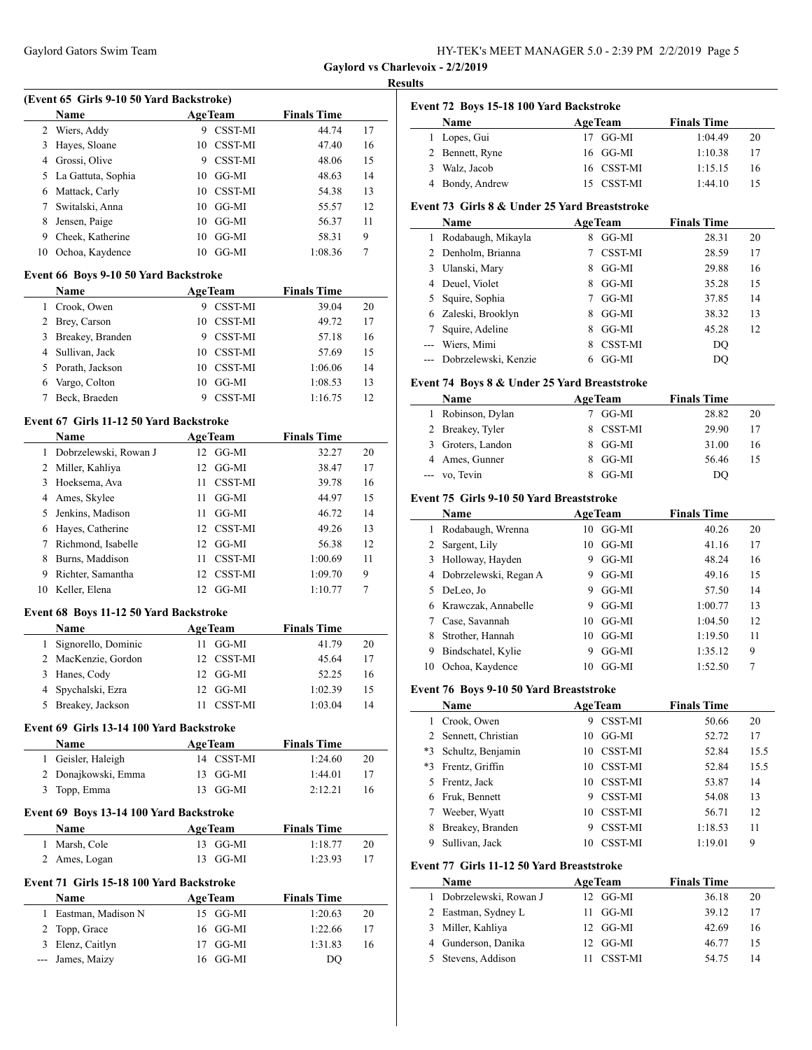| HY-TEK's MEET MANAGER 5.0 - 2:39 PM 2/2/2019 Page 5 |  |  |
|-----------------------------------------------------|--|--|
|-----------------------------------------------------|--|--|

#### **Results**

|    |                    |    | (Event 65 Girls 9-10 50 Yard Backstroke) |                    |    |  |  |
|----|--------------------|----|------------------------------------------|--------------------|----|--|--|
|    | <b>Name</b>        |    | <b>AgeTeam</b>                           | <b>Finals Time</b> |    |  |  |
| 2  | Wiers, Addy        | 9  | <b>CSST-MI</b>                           | 44.74              | 17 |  |  |
| 3  | Hayes, Sloane      | 10 | <b>CSST-MI</b>                           | 47.40              | 16 |  |  |
| 4  | Grossi, Olive      | 9  | <b>CSST-MI</b>                           | 48.06              | 15 |  |  |
| 5. | La Gattuta, Sophia | 10 | GG-MI                                    | 48.63              | 14 |  |  |
|    | Mattack, Carly     | 10 | <b>CSST-MI</b>                           | 54.38              | 13 |  |  |
|    | Switalski, Anna    | 10 | GG-MI                                    | 55.57              | 12 |  |  |
| 8  | Jensen, Paige      | 10 | GG-MI                                    | 56.37              | 11 |  |  |
| 9  | Cheek, Katherine   | 10 | GG-MI                                    | 58.31              | 9  |  |  |
| 10 | Ochoa, Kaydence    | 10 | GG-MI                                    | 1:08.36            | 7  |  |  |

#### **Event 66 Boys 9-10 50 Yard Backstroke**

|    | <b>Name</b>      |    | <b>AgeTeam</b> | <b>Finals Time</b> |    |
|----|------------------|----|----------------|--------------------|----|
|    | Crook, Owen      |    | <b>CSST-MI</b> | 39.04              | 20 |
|    | 2 Brey, Carson   | 10 | <b>CSST-MI</b> | 49.72              | 17 |
| 3  | Breakey, Branden |    | <b>CSST-MI</b> | 57.18              | 16 |
|    | 4 Sullivan, Jack | 10 | CSST-MI        | 57.69              | 15 |
| 5. | Porath, Jackson  | 10 | <b>CSST-MI</b> | 1:06.06            | 14 |
| 6  | Vargo, Colton    | 10 | GG-MI          | 1:08.53            | 13 |
|    | Beck, Braeden    |    | <b>CSST-MI</b> | 1:16.75            | 12 |

#### **Event 67 Girls 11-12 50 Yard Backstroke**

 $\overline{a}$ 

|    | <b>Name</b>           | <b>AgeTeam</b>       | <b>Finals Time</b> |    |
|----|-----------------------|----------------------|--------------------|----|
|    | Dobrzelewski, Rowan J | GG-MI<br>12.         | 32.27              | 20 |
| 2  | Miller, Kahliya       | GG-MI<br>12.         | 38.47              | 17 |
| 3  | Hoeksema, Ava         | <b>CSST-MI</b><br>11 | 39.78              | 16 |
|    | Ames, Skylee          | GG-MI<br>11          | 44.97              | 15 |
|    | Jenkins, Madison      | GG-MI<br>11          | 46.72              | 14 |
| 6  | Hayes, Catherine      | 12 CSST-MI           | 49.26              | 13 |
|    | Richmond, Isabelle    | GG-MI<br>12          | 56.38              | 12 |
|    | Burns, Maddison       | <b>CSST-MI</b><br>11 | 1:00.69            | 11 |
| 9  | Richter, Samantha     | CSST-MI<br>12.       | 1:09.70            | 9  |
| 10 | Keller, Elena         | GG-MI<br>12.         | 1:10.77            | 7  |

### **Event 68 Boys 11-12 50 Yard Backstroke**

| <b>Name</b>           | <b>AgeTeam</b> |                     | <b>Finals Time</b> |    |
|-----------------------|----------------|---------------------|--------------------|----|
| 1 Signorello, Dominic |                | $11 \text{ GG-MI}$  | 41.79              | 20 |
| 2 MacKenzie, Gordon   |                | 12 CSST-MI          | 45.64              | 17 |
| 3 Hanes, Cody         |                | $12 \text{ GG-MI}$  | 52.25              | 16 |
| 4 Spychalski, Ezra    |                | $12 \text{ G}$ G-MI | 1:02.39            | 15 |
| 5 Breakey, Jackson    |                | <b>CSST-MI</b>      | 1:03.04            | 14 |

#### **Event 69 Girls 13-14 100 Yard Backstroke**

| <b>Name</b>         | <b>AgeTeam</b> | <b>Finals Time</b> |  |
|---------------------|----------------|--------------------|--|
| 1 Geisler, Haleigh  | 14 CSST-MI     | 1:24.60<br>20      |  |
| 2 Donajkowski, Emma | 13 GG-MI       | 1:44.01<br>17      |  |
| 3 Topp, Emma        | 13 GG-MI       | 2:12.21<br>16      |  |

### **Event 69 Boys 13-14 100 Yard Backstroke**

| <b>Name</b>   | <b>AgeTeam</b>      | <b>Finals Time</b> |    |
|---------------|---------------------|--------------------|----|
| 1 Marsh, Cole | $13 \text{ G}$ G-MI | 1:18.77            | 20 |
| 2 Ames, Logan | $13 \text{ G}$ G-MI | 1:23.93            |    |

## **Event 71 Girls 15-18 100 Yard Backstroke**

| Name                 | <b>AgeTeam</b> | <b>Finals Time</b> |    |
|----------------------|----------------|--------------------|----|
| 1 Eastman, Madison N | 15 GG-MI       | 1:20.63            | 20 |
| 2 Topp, Grace        | 16 GG-MI       | 1:22.66            | 17 |
| 3 Elenz, Caitlyn     | 17 GG-MI       | 1:31.83            | 16 |
| --- James, Maizy     | 16 GG-MI       | DO)                |    |

|  |  |  | Event 72 Boys 15-18 100 Yard Backstroke |
|--|--|--|-----------------------------------------|
|--|--|--|-----------------------------------------|

| <b>Name</b>      | <b>AgeTeam</b> | <b>Finals Time</b> |    |
|------------------|----------------|--------------------|----|
| 1 Lopes, Gui     | 17 GG-MI       | 1:04.49            | 20 |
| 2 Bennett, Ryne  | $16$ GG-MI     | 1:10.38            | 17 |
| Walz, Jacob<br>3 | 16 CSST-MI     | 1:15.15            | 16 |
| 4 Bondy, Andrew  | 15 CSST-MI     | 1:44.10            | 15 |

### **Event 73 Girls 8 & Under 25 Yard Breaststroke**

| Name                     |   | <b>AgeTeam</b> | <b>Finals Time</b> |    |
|--------------------------|---|----------------|--------------------|----|
| Rodabaugh, Mikayla       | 8 | GG-MI          | 28.31              | 20 |
| 2 Denholm, Brianna       |   | <b>CSST-MI</b> | 28.59              | 17 |
| 3 Ulanski, Mary          | 8 | GG-MI          | 29.88              | 16 |
| 4 Deuel, Violet          | 8 | GG-MI          | 35.28              | 15 |
| 5 Squire, Sophia         |   | GG-MI          | 37.85              | 14 |
| 6 Zaleski, Brooklyn      | 8 | GG-MI          | 38.32              | 13 |
| Squire, Adeline          | 8 | GG-MI          | 45.28              | 12 |
| --- Wiers, Mimi          |   | CSST-MI        | DO                 |    |
| --- Dobrzelewski, Kenzie |   | GG-MI          | DO                 |    |

#### **Event 74 Boys 8 & Under 25 Yard Breaststroke**

| Name              | <b>AgeTeam</b> | <b>Finals Time</b> |    |
|-------------------|----------------|--------------------|----|
| 1 Robinson, Dylan | GG-MI          | 28.82              | 20 |
| 2 Breakey, Tyler  | 8 CSST-MI      | 29.90              | 17 |
| 3 Groters, Landon | 8 GG-MI        | 31.00              | 16 |
| 4 Ames, Gunner    | GG-MI          | 56.46              | 15 |
| --- vo, Tevin     | $8$ GG-MI      | DO                 |    |

### **Event 75 Girls 9-10 50 Yard Breaststroke**

|    | Name                  |    | <b>AgeTeam</b> | <b>Finals Time</b> |    |
|----|-----------------------|----|----------------|--------------------|----|
|    | Rodabaugh, Wrenna     | 10 | GG-MI          | 40.26              | 20 |
|    | 2 Sargent, Lily       | 10 | GG-MI          | 41.16              | 17 |
| 3  | Holloway, Hayden      | 9  | GG-MI          | 48.24              | 16 |
| 4  | Dobrzelewski, Regan A | 9  | GG-MI          | 49.16              | 15 |
| 5. | DeLeo, Jo             | 9  | GG-MI          | 57.50              | 14 |
|    | 6 Krawczak, Annabelle | 9  | GG-MI          | 1:00.77            | 13 |
|    | Case, Savannah        | 10 | GG-MI          | 1:04.50            | 12 |
| 8  | Strother, Hannah      | 10 | GG-MI          | 1:19.50            | 11 |
| 9  | Bindschatel, Kylie    | 9  | GG-MI          | 1:35.12            | 9  |
| 10 | Ochoa, Kaydence       | 10 | GG-MI          | 1:52.50            | 7  |

#### **Event 76 Boys 9-10 50 Yard Breaststroke**

 $\overline{\phantom{a}}$ 

 $\overline{\phantom{a}}$ 

|      | Name                 |     | <b>AgeTeam</b> | <b>Finals Time</b> |      |
|------|----------------------|-----|----------------|--------------------|------|
|      | Crook, Owen          | 9   | CSST-MI        | 50.66              | 20   |
|      | 2 Sennett, Christian | 10  | GG-MI          | 52.72              | 17   |
| *3   | Schultz, Benjamin    | 10  | CSST-MI        | 52.84              | 15.5 |
| $*3$ | Frentz, Griffin      |     | 10 CSST-MI     | 52.84              | 15.5 |
|      | Frentz, Jack         | 10. | CSST-MI        | 53.87              | 14   |
|      | Fruk, Bennett        | 9   | CSST-MI        | 54.08              | 13   |
|      | Weeber, Wyatt        | 10  | CSST-MI        | 56.71              | 12   |
| 8    | Breakey, Branden     | 9   | CSST-MI        | 1:18.53            | 11   |
| 9    | Sullivan, Jack       | 10. | CSST-MI        | 1:19.01            | 9    |

# **Event 77 Girls 11-12 50 Yard Breaststroke**

| <b>Name</b>             | <b>AgeTeam</b> | <b>Finals Time</b> |    |
|-------------------------|----------------|--------------------|----|
| 1 Dobrzelewski, Rowan J | 12 GG-MI       | 36.18              | 20 |
| 2 Eastman, Sydney L     | 11 GG-MI       | 39.12              | 17 |
| 3 Miller, Kahliya       | 12 GG-MI       | 42.69              | 16 |
| 4 Gunderson, Danika     | 12 GG-MI       | 46.77              | 15 |
| 5 Stevens, Addison      | <b>CSST-MI</b> | 54.75              | 14 |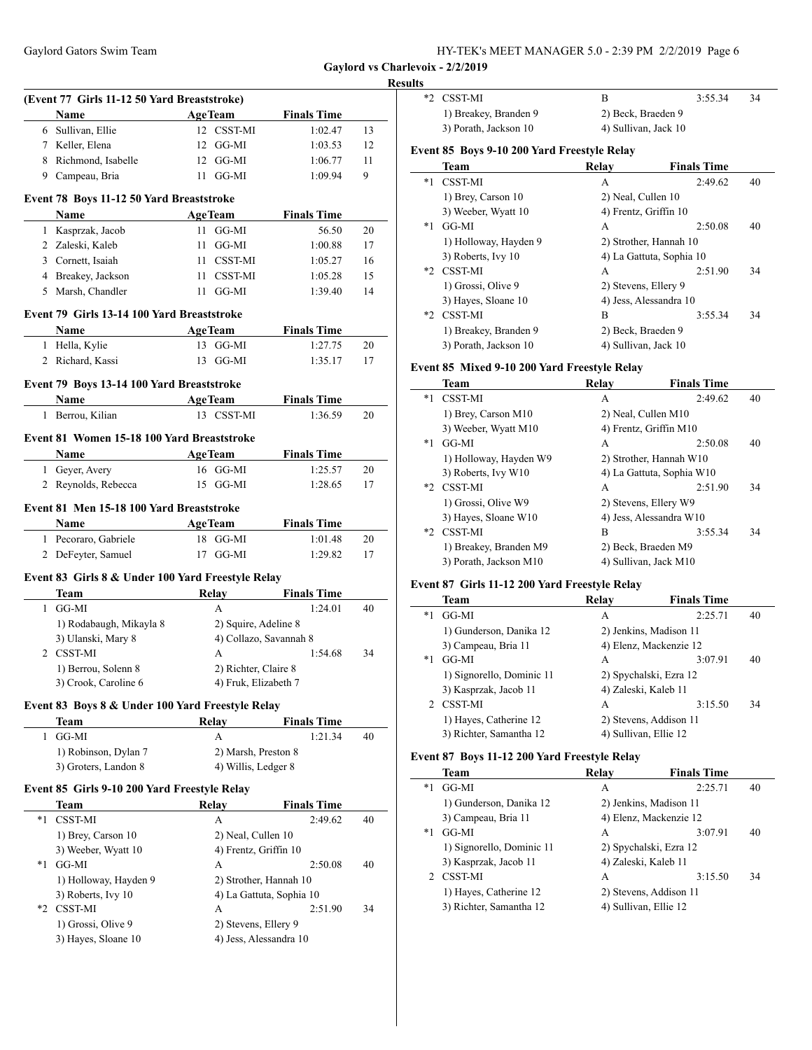#### **Results**

|                         | (Event 77 Girls 11-12 50 Yard Breaststroke)<br><b>Name</b> | <b>AgeTeam</b> |                          | <b>Finals Time</b>            |    |
|-------------------------|------------------------------------------------------------|----------------|--------------------------|-------------------------------|----|
|                         | 6 Sullivan, Ellie                                          |                | 12 CSST-MI               | 1:02.47                       | 13 |
|                         | 7 Keller, Elena                                            |                | 12 GG-MI                 | 1:03.53                       | 12 |
|                         | 8 Richmond, Isabelle                                       |                | $12 \text{ GG-MI}$       |                               |    |
|                         |                                                            |                |                          | 1:06.77                       | 11 |
|                         | 9 Campeau, Bria                                            |                | $11 \text{ GG-MI}$       | 1:09.94                       | 9  |
|                         | Event 78 Boys 11-12 50 Yard Breaststroke                   |                |                          |                               |    |
|                         | Name                                                       |                | <b>AgeTeam</b>           | <b>Finals Time</b>            |    |
|                         | 1 Kasprzak, Jacob                                          |                | 11 GG-MI                 | 56.50                         | 20 |
|                         | 2 Zaleski, Kaleb                                           |                | $11$ GG-MI               | 1:00.88                       | 17 |
|                         | 3 Cornett, Isaiah                                          |                | 11 CSST-MI               | 1:05.27                       | 16 |
|                         | 4 Breakey, Jackson                                         |                | 11 CSST-MI               | 1:05.28                       | 15 |
|                         | 5 Marsh, Chandler                                          |                | $11$ GG-MI               | 1:39.40                       | 14 |
|                         | Event 79 Girls 13-14 100 Yard Breaststroke                 |                |                          |                               |    |
|                         | Name                                                       | <b>AgeTeam</b> |                          | <b>Finals Time</b>            |    |
| $\mathbf{1}$            | Hella, Kylie                                               |                | 13 GG-MI                 | 1:27.75                       | 20 |
|                         | 2 Richard, Kassi                                           |                | 13 GG-MI                 | 1:35.17                       | 17 |
|                         | Event 79 Boys 13-14 100 Yard Breaststroke                  |                |                          |                               |    |
|                         | Name                                                       | <b>AgeTeam</b> |                          | <b>Finals Time</b>            |    |
|                         | 1 Berrou, Kilian                                           |                | 13 CSST-MI               | 1:36.59                       | 20 |
|                         |                                                            |                |                          |                               |    |
|                         | Event 81 Women 15-18 100 Yard Breaststroke<br>Name         | <b>AgeTeam</b> |                          | <b>Finals Time</b>            |    |
|                         | 1 Geyer, Avery                                             |                | 16 GG-MI                 | 1:25.57                       | 20 |
|                         | 2 Reynolds, Rebecca                                        |                | 15 GG-MI                 | 1:28.65                       | 17 |
|                         |                                                            |                |                          |                               |    |
|                         | Event 81 Men 15-18 100 Yard Breaststroke                   |                |                          |                               |    |
|                         | Name                                                       | <b>AgeTeam</b> |                          | <b>Finals Time</b>            |    |
|                         |                                                            |                |                          |                               |    |
|                         | 1 Pecoraro, Gabriele                                       |                | 18 GG-MI                 | 1:01.48                       | 20 |
|                         | 2 DeFeyter, Samuel                                         |                | 17 GG-MI                 | 1:29.82                       | 17 |
|                         |                                                            |                |                          |                               |    |
|                         | Event 83 Girls 8 & Under 100 Yard Freestyle Relay<br>Team  |                | Relay                    | <b>Finals Time</b>            |    |
| $\mathbf{1}$            | GG-MI                                                      |                | A                        | 1:24.01                       | 40 |
|                         | 1) Rodabaugh, Mikayla 8                                    |                | 2) Squire, Adeline 8     |                               |    |
|                         | 3) Ulanski, Mary 8                                         |                | 4) Collazo, Savannah 8   |                               |    |
|                         | 2 CSST-MI                                                  |                | A                        | 1:54.68                       | 34 |
|                         | 1) Berrou, Solenn 8                                        |                | 2) Richter, Claire 8     |                               |    |
|                         | 3) Crook, Caroline 6                                       |                | 4) Fruk, Elizabeth 7     |                               |    |
|                         | Event 83 Boys 8 & Under 100 Yard Freestyle Relay           |                |                          |                               |    |
|                         | Team                                                       |                | <b>Relay</b>             | <b>Finals Time</b>            |    |
| 1                       | GG-MI                                                      |                | A                        | 1:21.34                       | 40 |
|                         | 1) Robinson, Dylan 7                                       |                | 2) Marsh, Preston 8      |                               |    |
|                         | 3) Groters, Landon 8                                       |                | 4) Willis, Ledger 8      |                               |    |
|                         | Event 85 Girls 9-10 200 Yard Freestyle Relay               |                |                          |                               |    |
|                         | Team                                                       |                | <b>Relay</b>             |                               |    |
|                         | CSST-MI                                                    |                | A                        | <b>Finals Time</b><br>2:49.62 | 40 |
|                         | 1) Brey, Carson 10                                         |                | 2) Neal, Cullen 10       |                               |    |
|                         | 3) Weeber, Wyatt 10                                        |                | 4) Frentz, Griffin 10    |                               |    |
|                         | GG-MI                                                      |                | A                        | 2:50.08                       | 40 |
|                         | 1) Holloway, Hayden 9                                      |                | 2) Strother, Hannah 10   |                               |    |
|                         | 3) Roberts, Ivy 10                                         |                | 4) La Gattuta, Sophia 10 |                               |    |
| $*1$<br>$*_{1}$<br>$*2$ | <b>CSST-MI</b>                                             |                | A                        | 2:51.90                       | 34 |
|                         | 1) Grossi, Olive 9                                         |                | 2) Stevens, Ellery 9     |                               |    |

|      | *2 CSST-MI                                          | B                     | 3:55.34                  | 34 |
|------|-----------------------------------------------------|-----------------------|--------------------------|----|
|      | 1) Breakey, Branden 9                               | 2) Beck, Braeden 9    |                          |    |
|      | 3) Porath, Jackson 10                               | 4) Sullivan, Jack 10  |                          |    |
|      | Event 85 Boys 9-10 200 Yard Freestyle Relay         |                       |                          |    |
|      | Team                                                | Relay                 | <b>Finals Time</b>       |    |
| *1   | <b>CSST-MI</b>                                      | A                     | 2:49.62                  | 40 |
|      | 1) Brey, Carson 10                                  | 2) Neal, Cullen 10    |                          |    |
|      | 3) Weeber, Wyatt 10                                 | 4) Frentz, Griffin 10 |                          |    |
| *1   | GG-MI                                               | A                     | 2:50.08                  | 40 |
|      | 1) Holloway, Hayden 9                               |                       | 2) Strother, Hannah 10   |    |
|      | 3) Roberts, Ivy 10                                  |                       | 4) La Gattuta, Sophia 10 |    |
| $*2$ | <b>CSST-MI</b>                                      | A                     | 2:51.90                  | 34 |
|      | 1) Grossi, Olive 9                                  | 2) Stevens, Ellery 9  |                          |    |
|      | 3) Hayes, Sloane 10                                 |                       | 4) Jess, Alessandra 10   |    |
|      | *2 CSST-MI                                          | B                     | 3:55.34                  | 34 |
|      | 1) Breakey, Branden 9                               | 2) Beck, Braeden 9    |                          |    |
|      | 3) Porath, Jackson 10                               | 4) Sullivan, Jack 10  |                          |    |
|      | <b>Event 85 Mixed 9-10 200 Yard Freestyle Relav</b> |                       |                          |    |
|      |                                                     |                       |                          |    |

#### **Event 85 Mixed 9-10 200 Yard Freestyle Relay**

|      | Team                   | Relav                   | <b>Finals Time</b>        |    |
|------|------------------------|-------------------------|---------------------------|----|
| $*1$ | <b>CSST-MI</b>         | A                       | 2:49.62                   | 40 |
|      | 1) Brey, Carson M10    | 2) Neal, Cullen M10     |                           |    |
|      | 3) Weeber, Wyatt M10   | 4) Frentz, Griffin M10  |                           |    |
| $*1$ | GG-MI                  | A                       | 2:50.08                   | 40 |
|      | 1) Holloway, Hayden W9 | 2) Strother, Hannah W10 |                           |    |
|      | 3) Roberts, Ivy W10    |                         | 4) La Gattuta, Sophia W10 |    |
|      | *2 CSST-MI             | A                       | 2:51.90                   | 34 |
|      | 1) Grossi, Olive W9    | 2) Stevens, Ellery W9   |                           |    |
|      | 3) Hayes, Sloane W10   | 4) Jess, Alessandra W10 |                           |    |
| $*2$ | <b>CSST-MI</b>         | B                       | 3:55.34                   | 34 |
|      | 1) Breakey, Branden M9 | 2) Beck, Braeden M9     |                           |    |
|      | 3) Porath, Jackson M10 | 4) Sullivan, Jack M10   |                           |    |

# **Event 87 Girls 11-12 200 Yard Freestyle Relay**

|      | Team                      | Relay                  | <b>Finals Time</b> |    |
|------|---------------------------|------------------------|--------------------|----|
| *1   | GG-MI                     | A                      | 2:25.71            | 40 |
|      | 1) Gunderson, Danika 12   | 2) Jenkins, Madison 11 |                    |    |
|      | 3) Campeau, Bria 11       | 4) Elenz, Mackenzie 12 |                    |    |
| $*1$ | GG-MI                     | A                      | 3:07.91            | 40 |
|      | 1) Signorello, Dominic 11 | 2) Spychalski, Ezra 12 |                    |    |
|      | 3) Kasprzak, Jacob 11     | 4) Zaleski, Kaleb 11   |                    |    |
|      | <b>CSST-MI</b>            | A                      | 3:15.50            | 34 |
|      | 1) Hayes, Catherine 12    | 2) Stevens, Addison 11 |                    |    |
|      | 3) Richter, Samantha 12   | 4) Sullivan, Ellie 12  |                    |    |

### **Event 87 Boys 11-12 200 Yard Freestyle Relay**

|      | Team                      | Relay                 | <b>Finals Time</b>     |    |
|------|---------------------------|-----------------------|------------------------|----|
| *1   | GG-MI                     | А                     | 2:25.71                | 40 |
|      | 1) Gunderson, Danika 12   |                       | 2) Jenkins, Madison 11 |    |
|      | 3) Campeau, Bria 11       |                       | 4) Elenz, Mackenzie 12 |    |
| $*1$ | GG-MI                     | A                     | 3:07.91                | 40 |
|      | 1) Signorello, Dominic 11 |                       | 2) Spychalski, Ezra 12 |    |
|      | 3) Kasprzak, Jacob 11     | 4) Zaleski, Kaleb 11  |                        |    |
|      | 2 CSST-MI                 | A                     | 3:15.50                | 34 |
|      | 1) Hayes, Catherine 12    |                       | 2) Stevens, Addison 11 |    |
|      | 3) Richter, Samantha 12   | 4) Sullivan, Ellie 12 |                        |    |